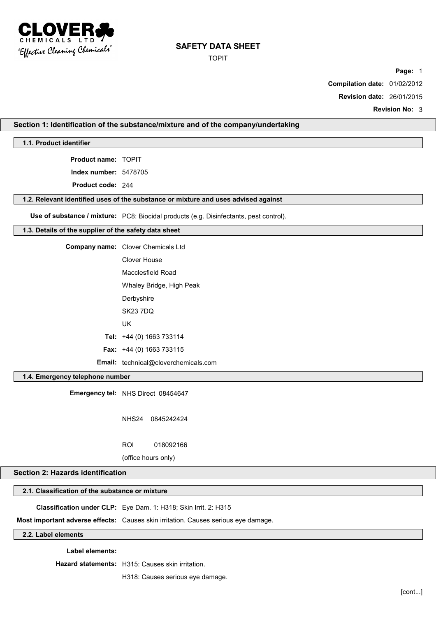

TOPIT

**Page:** 1

**Compilation date:** 01/02/2012

**Revision date:** 26/01/2015

**Revision No:** 3

## **Section 1: Identification of the substance/mixture and of the company/undertaking**

**1.1. Product identifier**

**Product name:** TOPIT

**Index number:** 5478705

**Product code:** 244

#### **1.2. Relevant identified uses of the substance or mixture and uses advised against**

**Use of substance / mixture:** PC8: Biocidal products (e.g. Disinfectants, pest control).

## **1.3. Details of the supplier of the safety data sheet**

**Company name:** Clover Chemicals Ltd Clover House Macclesfield Road Whaley Bridge, High Peak Derbyshire SK23 7DQ UK **Tel:** +44 (0) 1663 733114 **Fax:** +44 (0) 1663 733115 **Email:** technical@cloverchemicals.com

## **1.4. Emergency telephone number**

**Emergency tel:** NHS Direct 08454647

NHS24 0845242424

ROI 018092166

(office hours only)

#### **Section 2: Hazards identification**

#### **2.1. Classification of the substance or mixture**

**Classification under CLP:** Eye Dam. 1: H318; Skin Irrit. 2: H315

**Most important adverse effects:** Causes skin irritation. Causes serious eye damage.

**2.2. Label elements**

**Label elements:**

**Hazard statements:** H315: Causes skin irritation.

H318: Causes serious eye damage.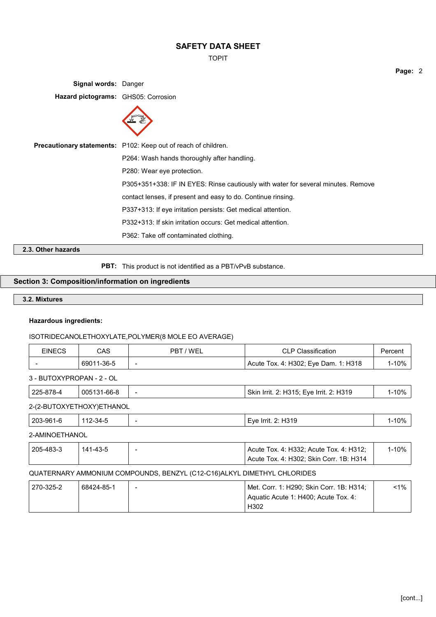TOPIT

**Signal words:** Danger **Hazard pictograms:** GHS05: Corrosion



**Precautionary statements:** P102: Keep out of reach of children. P264: Wash hands thoroughly after handling. P280: Wear eye protection. P305+351+338: IF IN EYES: Rinse cautiously with water for several minutes. Remove contact lenses, if present and easy to do. Continue rinsing. P337+313: If eye irritation persists: Get medical attention. P332+313: If skin irritation occurs: Get medical attention. P362: Take off contaminated clothing.

# **2.3. Other hazards**

**PBT:** This product is not identified as a PBT/vPvB substance.

# **Section 3: Composition/information on ingredients**

#### **3.2. Mixtures**

#### **Hazardous ingredients:**

#### ISOTRIDECANOLETHOXYLATE,POLYMER(8 MOLE EO AVERAGE)

| <b>EINECS</b>             | CAS        | PBT / WEL                | <b>CLP Classification</b>            | Percent |  |
|---------------------------|------------|--------------------------|--------------------------------------|---------|--|
|                           | 69011-36-5 | $\overline{\phantom{0}}$ | Acute Tox. 4: H302; Eye Dam. 1: H318 | 1-10%   |  |
| 3 - BUTOXYPROPAN - 2 - OL |            |                          |                                      |         |  |

| 225-878-4                 | 005131-66-8 | $\overline{\phantom{0}}$ | Skin Irrit. 2: H315; Eye Irrit. 2: H319 | 1-10% |
|---------------------------|-------------|--------------------------|-----------------------------------------|-------|
| 2-(2-BUTOXYETHOXY)ETHANOL |             |                          |                                         |       |

|  | 203-961-6<br>ن-34<br>$\sim$ $\sim$ | $\overline{\phantom{0}}$ | H319<br><b>LVA</b><br><b>Irrit</b><br>ъ.<br>- | $\Omega$ |
|--|------------------------------------|--------------------------|-----------------------------------------------|----------|
|--|------------------------------------|--------------------------|-----------------------------------------------|----------|

# 2-AMINOETHANOL

| 205-483-3 | 141-43-5 | Acute Tox. 4: H332; Acute Tox. 4: H312; | .-10% ' |
|-----------|----------|-----------------------------------------|---------|
|           |          | Acute Tox. 4: H302; Skin Corr. 1B: H314 |         |

# QUATERNARY AMMONIUM COMPOUNDS, BENZYL (C12-C16)ALKYL DIMETHYL CHLORIDES

| 270-325-2 | 68424-85-1 | $\overline{\phantom{0}}$ | Met. Corr. 1: H290; Skin Corr. 1B: H314; | <1% |
|-----------|------------|--------------------------|------------------------------------------|-----|
|           |            |                          | Aquatic Acute 1: H400: Acute Tox. 4:     |     |
|           |            |                          | H302                                     |     |

**Page:** 2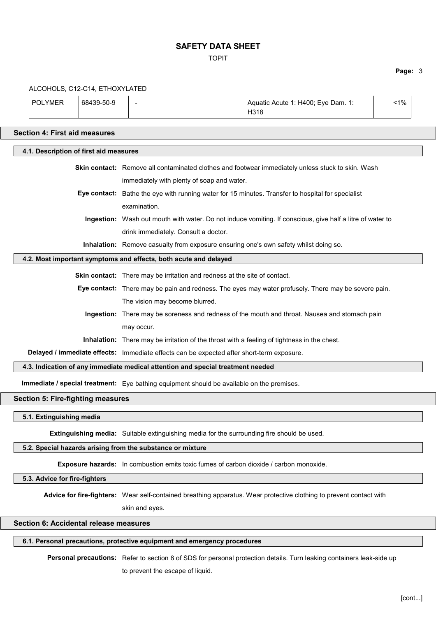TOPIT

#### **Page:** 3

ALCOHOLS, C12-C14, ETHOXYLATED POLYMER  $\vert$  68439-50-9  $\vert$  -  $\vert$  -  $\vert$  Aquatic Acute 1: H400; Eve Dam. 1: H318  $< 1\%$ **Section 4: First aid measures 4.1. Description of first aid measures Skin contact:** Remove all contaminated clothes and footwear immediately unless stuck to skin. Wash immediately with plenty of soap and water. **Eye contact:** Bathe the eye with running water for 15 minutes. Transfer to hospital for specialist examination. **Ingestion:** Wash out mouth with water. Do not induce vomiting. If conscious, give half a litre of water to drink immediately. Consult a doctor. **Inhalation:** Remove casualty from exposure ensuring one's own safety whilst doing so. **4.2. Most important symptoms and effects, both acute and delayed Skin contact:** There may be irritation and redness at the site of contact. **Eye contact:** There may be pain and redness. The eyes may water profusely. There may be severe pain. The vision may become blurred. **Ingestion:** There may be soreness and redness of the mouth and throat. Nausea and stomach pain may occur. **Inhalation:** There may be irritation of the throat with a feeling of tightness in the chest. **Delayed / immediate effects:** Immediate effects can be expected after short-term exposure. **4.3. Indication of any immediate medical attention and special treatment needed Immediate / special treatment:** Eye bathing equipment should be available on the premises. **Section 5: Fire-fighting measures 5.1. Extinguishing media Extinguishing media:** Suitable extinguishing media for the surrounding fire should be used. **5.2. Special hazards arising from the substance or mixture Exposure hazards:** In combustion emits toxic fumes of carbon dioxide / carbon monoxide. **5.3. Advice for fire-fighters Advice for fire-fighters:** Wear self-contained breathing apparatus. Wear protective clothing to prevent contact with skin and eyes. **Section 6: Accidental release measures**

# **6.1. Personal precautions, protective equipment and emergency procedures**

**Personal precautions:** Refer to section 8 of SDS for personal protection details. Turn leaking containers leak-side up

to prevent the escape of liquid.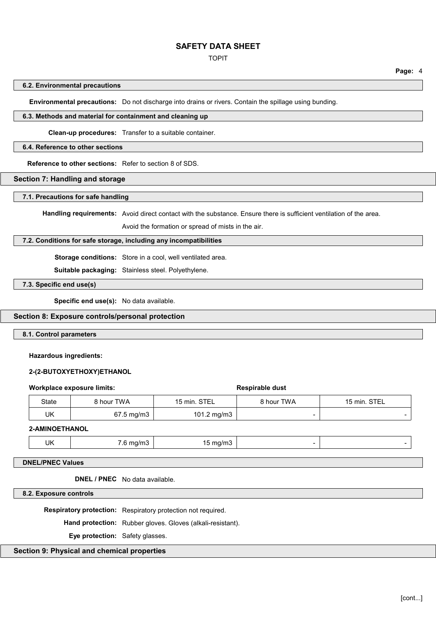#### TOPIT

#### **6.2. Environmental precautions**

**Environmental precautions:** Do not discharge into drains or rivers. Contain the spillage using bunding.

#### **6.3. Methods and material for containment and cleaning up**

**Clean-up procedures:** Transfer to a suitable container.

#### **6.4. Reference to other sections**

**Reference to other sections:** Refer to section 8 of SDS.

## **Section 7: Handling and storage**

#### **7.1. Precautions for safe handling**

**Handling requirements:** Avoid direct contact with the substance. Ensure there is sufficient ventilation of the area.

Avoid the formation or spread of mists in the air.

#### **7.2. Conditions for safe storage, including any incompatibilities**

**Storage conditions:** Store in a cool, well ventilated area.

**Suitable packaging:** Stainless steel. Polyethylene.

# **7.3. Specific end use(s)**

**Specific end use(s):** No data available.

## **Section 8: Exposure controls/personal protection**

#### **8.1. Control parameters**

#### **Hazardous ingredients:**

#### **2-(2-BUTOXYETHOXY)ETHANOL**

#### **Workplace exposure limits: Respirable dust Respirable dust**

| State | 8 hour TWA              | 15 min. STEL | 8 hour TWA | 15 min. STEL |
|-------|-------------------------|--------------|------------|--------------|
| UK    | $67.5 \,\mathrm{mg/m3}$ | 101.2 mg/m3  |            |              |

## **2-AMINOETHANOL**

| UK | - ^<br>mg/m3<br>.v | mq/m3<br>15 |  |  |
|----|--------------------|-------------|--|--|
|----|--------------------|-------------|--|--|

**DNEL/PNEC Values**

**DNEL / PNEC** No data available.

**8.2. Exposure controls**

**Respiratory protection:** Respiratory protection not required.

**Hand protection:** Rubber gloves. Gloves (alkali-resistant).

**Eye protection:** Safety glasses.

#### **Section 9: Physical and chemical properties**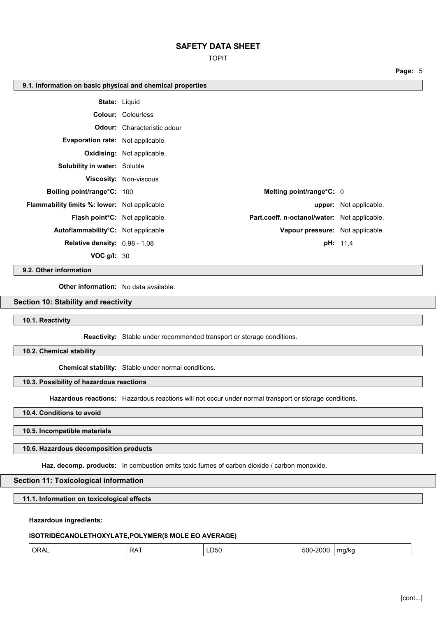TOPIT

**Page:** 5

# **9.1. Information on basic physical and chemical properties State:** Liquid **Colour:** Colourless

|                                                      | <b>Odour:</b> Characteristic odour |                                              |                               |
|------------------------------------------------------|------------------------------------|----------------------------------------------|-------------------------------|
| <b>Evaporation rate:</b> Not applicable.             |                                    |                                              |                               |
|                                                      | <b>Oxidising:</b> Not applicable.  |                                              |                               |
| <b>Solubility in water: Soluble</b>                  |                                    |                                              |                               |
|                                                      | <b>Viscosity: Non-viscous</b>      |                                              |                               |
| <b>Boiling point/range°C: 100</b>                    |                                    | Melting point/range°C: 0                     |                               |
| <b>Flammability limits %: lower:</b> Not applicable. |                                    |                                              | <b>upper:</b> Not applicable. |
| Flash point <sup>°</sup> C: Not applicable.          |                                    | Part.coeff. n-octanol/water: Not applicable. |                               |
| Autoflammability <sup>o</sup> C: Not applicable.     |                                    | Vapour pressure: Not applicable.             |                               |
| <b>Relative density: 0.98 - 1.08</b>                 |                                    | pH: 11.4                                     |                               |
| $VOC$ g/l: 30                                        |                                    |                                              |                               |

**9.2. Other information**

**Other information:** No data available.

## **Section 10: Stability and reactivity**

**10.1. Reactivity**

**Reactivity:** Stable under recommended transport or storage conditions.

**10.2. Chemical stability**

**Chemical stability:** Stable under normal conditions.

**10.3. Possibility of hazardous reactions**

**Hazardous reactions:** Hazardous reactions will not occur under normal transport or storage conditions.

**10.4. Conditions to avoid**

**10.5. Incompatible materials**

**10.6. Hazardous decomposition products**

**Haz. decomp. products:** In combustion emits toxic fumes of carbon dioxide / carbon monoxide.

#### **Section 11: Toxicological information**

**11.1. Information on toxicological effects**

**Hazardous ingredients:**

## **ISOTRIDECANOLETHOXYLATE,POLYMER(8 MOLE EO AVERAGE)**

| <b>ORA</b><br>NAL | ۵۸۰<br>v | .D50<br>___ | 500<br>2000 <b>PM</b><br>. .<br>. | ma/ka<br>$\cdot$ $\cdot$ |  |
|-------------------|----------|-------------|-----------------------------------|--------------------------|--|
|-------------------|----------|-------------|-----------------------------------|--------------------------|--|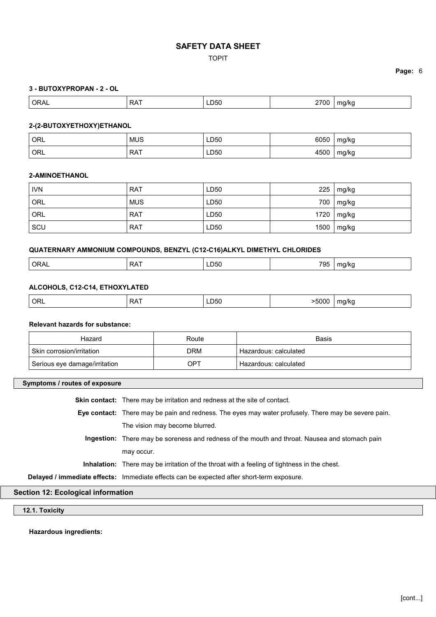## TOPIT

**Page:** 6

## **3 - BUTOXYPROPAN - 2 - OL**

| <b>ORAL</b> | <b>RAT</b> | - - -<br>LD50<br>$ -$ | ?700<br>_<br>$\sim$ $\sim$ | ma/ka<br>ີ |
|-------------|------------|-----------------------|----------------------------|------------|
|             |            |                       |                            |            |

## **2-(2-BUTOXYETHOXY)ETHANOL**

| ORL | <b>MUS</b> | LD50 | 6050 | mg/kg      |
|-----|------------|------|------|------------|
| ORL | <b>RAT</b> | LD50 | 4500 | mg/kg<br>ີ |

#### **2-AMINOETHANOL**

| <b>IVN</b> | <b>RAT</b> | LD50 | 225  | mg/kg |
|------------|------------|------|------|-------|
| ORL        | <b>MUS</b> | LD50 | 700  | mg/kg |
| ORL        | <b>RAT</b> | LD50 | 1720 | mg/kg |
| SCU        | <b>RAT</b> | LD50 | 1500 | mg/kg |

#### **QUATERNARY AMMONIUM COMPOUNDS, BENZYL (C12-C16)ALKYL DIMETHYL CHLORIDES**

| 795<br>$\sim$<br><b>NDA</b><br>D50<br>- 11<br>$\cdot$ .<br>$  -$<br>$ -$<br>. . |
|---------------------------------------------------------------------------------|
|---------------------------------------------------------------------------------|

# **ALCOHOLS, C12-C14, ETHOXYLATED**

|  | ORL | - -<br>v | –∟ວ∪<br>$ -$ | ---- | na/ka<br>. . |
|--|-----|----------|--------------|------|--------------|
|--|-----|----------|--------------|------|--------------|

# **Relevant hazards for substance:**

| Hazard                        | Route | <b>Basis</b>          |
|-------------------------------|-------|-----------------------|
| . Skin corrosion/irritation   | DRM   | Hazardous: calculated |
| Serious eye damage/irritation | OPT   | Hazardous: calculated |

# **Symptoms / routes of exposure**

**Skin contact:** There may be irritation and redness at the site of contact. **Eye contact:** There may be pain and redness. The eyes may water profusely. There may be severe pain. The vision may become blurred. **Ingestion:** There may be soreness and redness of the mouth and throat. Nausea and stomach pain may occur. **Inhalation:** There may be irritation of the throat with a feeling of tightness in the chest. **Delayed / immediate effects:** Immediate effects can be expected after short-term exposure.

# **Section 12: Ecological information**

**12.1. Toxicity**

**Hazardous ingredients:**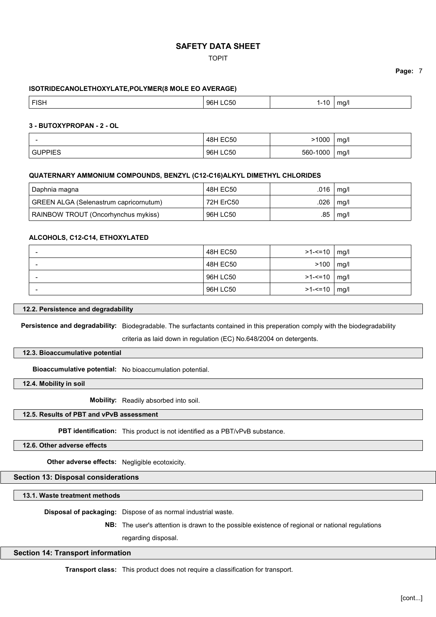## TOPIT

## **Page:** 7

#### **ISOTRIDECANOLETHOXYLATE,POLYMER(8 MOLE EO AVERAGE)**

| <b>FISH</b><br>. .<br>-96F<br>ma<br>' JSL<br>`17<br>$\sim$ $\sim$ $\sim$ $\sim$ $\sim$<br>. |  |
|---------------------------------------------------------------------------------------------|--|
|---------------------------------------------------------------------------------------------|--|

#### **3 - BUTOXYPROPAN - 2 - OL**

| $\overline{\phantom{a}}$ | <b>48H EC50</b> | 1000    | mq/1 |
|--------------------------|-----------------|---------|------|
| <b>GLIDDIES</b>          | <b>LC50</b>     | $-1000$ | mg/l |
| ___                      | 96H I           | $560 -$ |      |

#### **QUATERNARY AMMONIUM COMPOUNDS, BENZYL (C12-C16)ALKYL DIMETHYL CHLORIDES**

| Daphnia magna                              | 48H EC50  | 016 | mq/l |
|--------------------------------------------|-----------|-----|------|
| GREEN ALGA (Selenastrum capricornutum)     | 72H ErC50 | 026 | mg/l |
| <b>RAINBOW TROUT (Oncorhynchus mykiss)</b> | 96H LC50  | .85 | mg/l |

## **ALCOHOLS, C12-C14, ETHOXYLATED**

| 48H EC50 | $>1 - 10$     | mg/l |
|----------|---------------|------|
| 48H EC50 | >100          | mq/1 |
| 96H LC50 | $>1 - 5 = 10$ | mg/l |
| 96H LC50 | $>1 - 5 = 10$ | mg/l |

## **12.2. Persistence and degradability**

**Persistence and degradability:** Biodegradable. The surfactants contained in this preperation comply with the biodegradability

criteria as laid down in regulation (EC) No.648/2004 on detergents.

#### **12.3. Bioaccumulative potential**

**Bioaccumulative potential:** No bioaccumulation potential.

**12.4. Mobility in soil**

**Mobility:** Readily absorbed into soil.

## **12.5. Results of PBT and vPvB assessment**

**PBT identification:** This product is not identified as a PBT/vPvB substance.

**12.6. Other adverse effects**

**Other adverse effects:** Negligible ecotoxicity.

# **Section 13: Disposal considerations**

**13.1. Waste treatment methods**

**Disposal of packaging:** Dispose of as normal industrial waste.

**NB:** The user's attention is drawn to the possible existence of regional or national regulations

regarding disposal.

### **Section 14: Transport information**

**Transport class:** This product does not require a classification for transport.